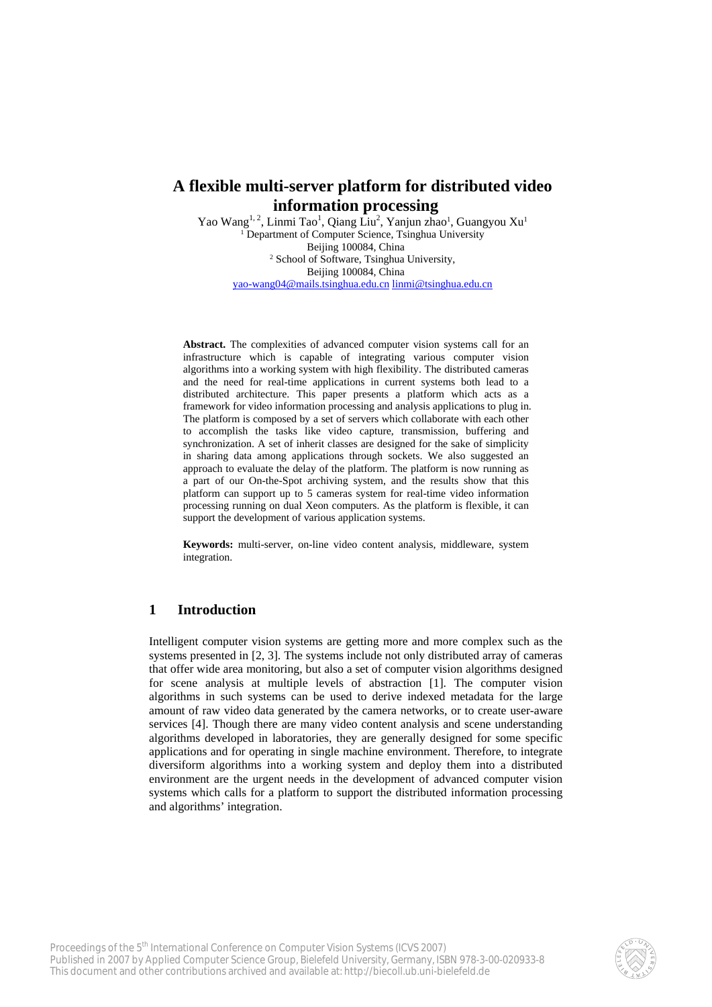# **A flexible multi-server platform for distributed video information processing**

Yao Wang<sup>1, 2</sup>, Linmi Tao<sup>1</sup>, Qiang Liu<sup>2</sup>, Yanjun zhao<sup>1</sup>, Guangyou Xu<sup>1</sup> <sup>1</sup> Department of Computer Science, Tsinghua University Beijing 100084, China<br><sup>2</sup> School of Software, Tsinghua University, Beijing 100084, China yao-wang04@mails.tsinghua.edu.cn linmi@tsinghua.edu.cn

**Abstract.** The complexities of advanced computer vision systems call for an infrastructure which is capable of integrating various computer vision algorithms into a working system with high flexibility. The distributed cameras and the need for real-time applications in current systems both lead to a distributed architecture. This paper presents a platform which acts as a framework for video information processing and analysis applications to plug in. The platform is composed by a set of servers which collaborate with each other to accomplish the tasks like video capture, transmission, buffering and synchronization. A set of inherit classes are designed for the sake of simplicity in sharing data among applications through sockets. We also suggested an approach to evaluate the delay of the platform. The platform is now running as a part of our On-the-Spot archiving system, and the results show that this platform can support up to 5 cameras system for real-time video information processing running on dual Xeon computers. As the platform is flexible, it can support the development of various application systems.

**Keywords:** multi-server, on-line video content analysis, middleware, system integration.

# **1 Introduction**

Intelligent computer vision systems are getting more and more complex such as the systems presented in [2, 3]. The systems include not only distributed array of cameras that offer wide area monitoring, but also a set of computer vision algorithms designed for scene analysis at multiple levels of abstraction [1]. The computer vision algorithms in such systems can be used to derive indexed metadata for the large amount of raw video data generated by the camera networks, or to create user-aware services [4]. Though there are many video content analysis and scene understanding algorithms developed in laboratories, they are generally designed for some specific applications and for operating in single machine environment. Therefore, to integrate diversiform algorithms into a working system and deploy them into a distributed environment are the urgent needs in the development of advanced computer vision systems which calls for a platform to support the distributed information processing and algorithms' integration.

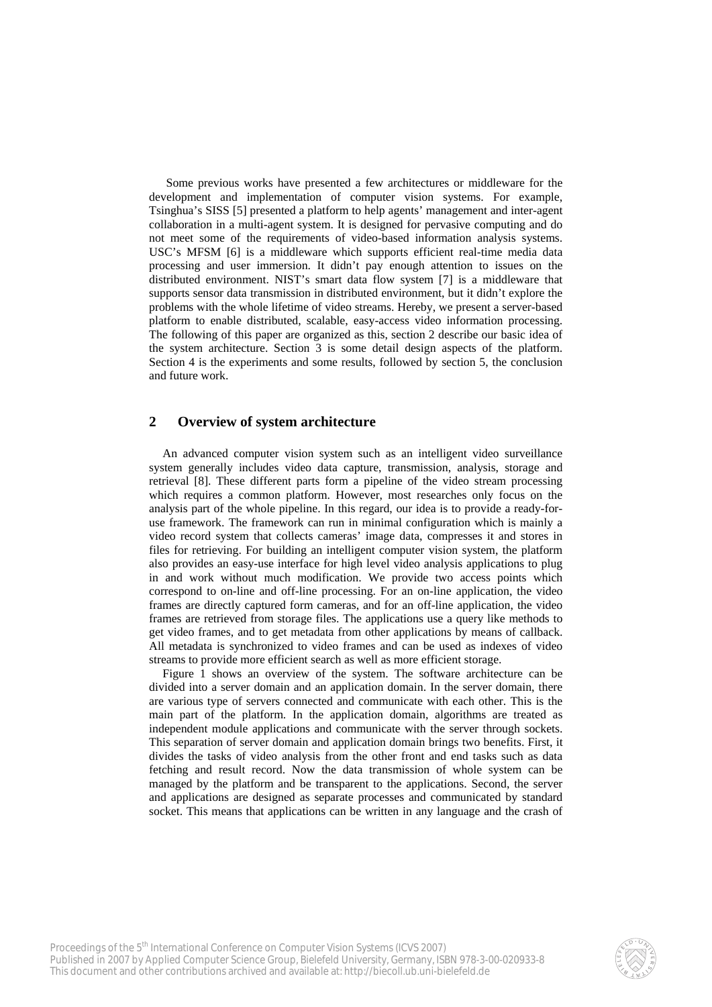Some previous works have presented a few architectures or middleware for the development and implementation of computer vision systems. For example, Tsinghua's SISS [5] presented a platform to help agents' management and inter-agent collaboration in a multi-agent system. It is designed for pervasive computing and do not meet some of the requirements of video-based information analysis systems. USC's MFSM [6] is a middleware which supports efficient real-time media data processing and user immersion. It didn't pay enough attention to issues on the distributed environment. NIST's smart data flow system [7] is a middleware that supports sensor data transmission in distributed environment, but it didn't explore the problems with the whole lifetime of video streams. Hereby, we present a server-based platform to enable distributed, scalable, easy-access video information processing. The following of this paper are organized as this, section 2 describe our basic idea of the system architecture. Section 3 is some detail design aspects of the platform. Section 4 is the experiments and some results, followed by section 5, the conclusion and future work.

# **2 Overview of system architecture**

An advanced computer vision system such as an intelligent video surveillance system generally includes video data capture, transmission, analysis, storage and retrieval [8]. These different parts form a pipeline of the video stream processing which requires a common platform. However, most researches only focus on the analysis part of the whole pipeline. In this regard, our idea is to provide a ready-foruse framework. The framework can run in minimal configuration which is mainly a video record system that collects cameras' image data, compresses it and stores in files for retrieving. For building an intelligent computer vision system, the platform also provides an easy-use interface for high level video analysis applications to plug in and work without much modification. We provide two access points which correspond to on-line and off-line processing. For an on-line application, the video frames are directly captured form cameras, and for an off-line application, the video frames are retrieved from storage files. The applications use a query like methods to get video frames, and to get metadata from other applications by means of callback. All metadata is synchronized to video frames and can be used as indexes of video streams to provide more efficient search as well as more efficient storage.

Figure 1 shows an overview of the system. The software architecture can be divided into a server domain and an application domain. In the server domain, there are various type of servers connected and communicate with each other. This is the main part of the platform. In the application domain, algorithms are treated as independent module applications and communicate with the server through sockets. This separation of server domain and application domain brings two benefits. First, it divides the tasks of video analysis from the other front and end tasks such as data fetching and result record. Now the data transmission of whole system can be managed by the platform and be transparent to the applications. Second, the server and applications are designed as separate processes and communicated by standard socket. This means that applications can be written in any language and the crash of

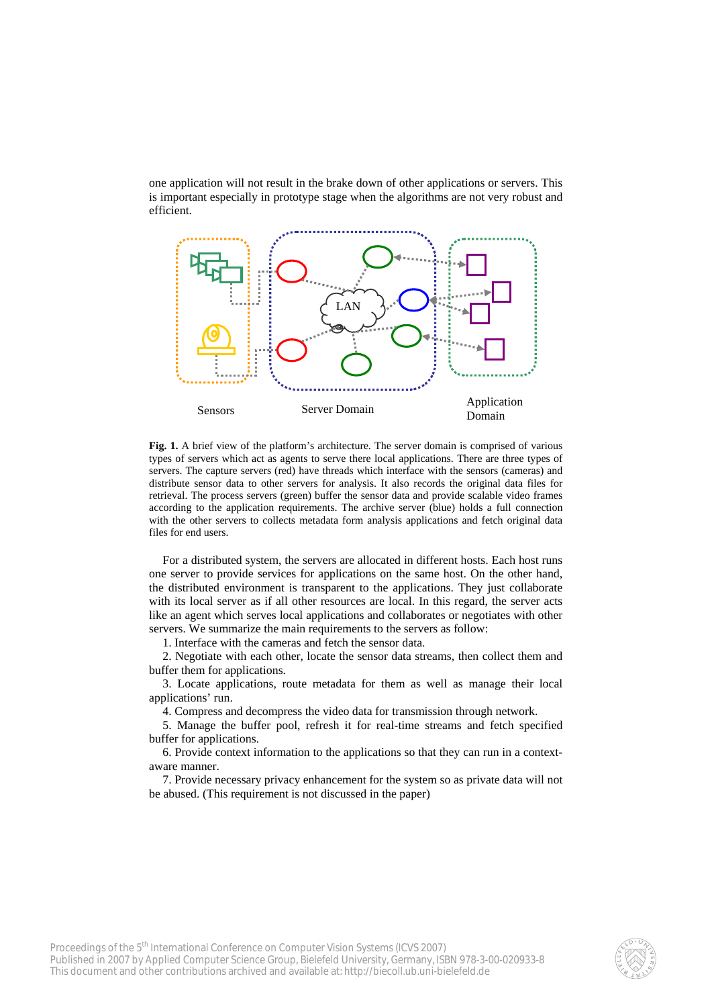one application will not result in the brake down of other applications or servers. This is important especially in prototype stage when the algorithms are not very robust and efficient.



**Fig. 1.** A brief view of the platform's architecture. The server domain is comprised of various types of servers which act as agents to serve there local applications. There are three types of servers. The capture servers (red) have threads which interface with the sensors (cameras) and distribute sensor data to other servers for analysis. It also records the original data files for retrieval. The process servers (green) buffer the sensor data and provide scalable video frames according to the application requirements. The archive server (blue) holds a full connection with the other servers to collects metadata form analysis applications and fetch original data files for end users.

For a distributed system, the servers are allocated in different hosts. Each host runs one server to provide services for applications on the same host. On the other hand, the distributed environment is transparent to the applications. They just collaborate with its local server as if all other resources are local. In this regard, the server acts like an agent which serves local applications and collaborates or negotiates with other servers. We summarize the main requirements to the servers as follow:

1. Interface with the cameras and fetch the sensor data.

2. Negotiate with each other, locate the sensor data streams, then collect them and buffer them for applications.

3. Locate applications, route metadata for them as well as manage their local applications' run.

4. Compress and decompress the video data for transmission through network.

5. Manage the buffer pool, refresh it for real-time streams and fetch specified buffer for applications.

6. Provide context information to the applications so that they can run in a contextaware manner.

7. Provide necessary privacy enhancement for the system so as private data will not be abused. (This requirement is not discussed in the paper)

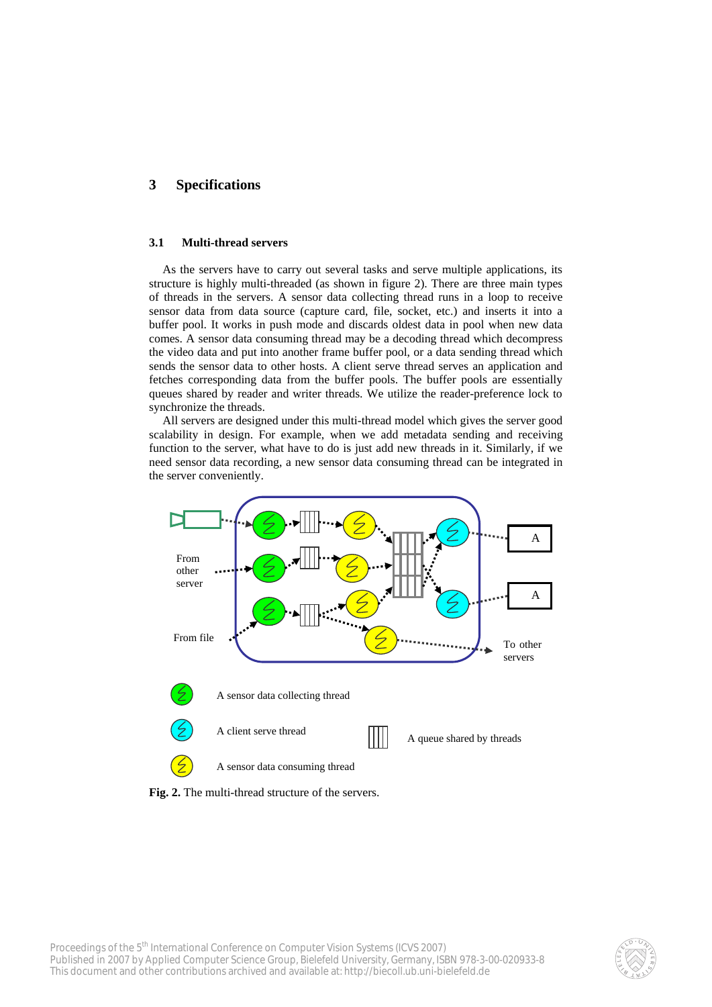# **3 Specifications**

### **3.1 Multi-thread servers**

As the servers have to carry out several tasks and serve multiple applications, its structure is highly multi-threaded (as shown in figure 2). There are three main types of threads in the servers. A sensor data collecting thread runs in a loop to receive sensor data from data source (capture card, file, socket, etc.) and inserts it into a buffer pool. It works in push mode and discards oldest data in pool when new data comes. A sensor data consuming thread may be a decoding thread which decompress the video data and put into another frame buffer pool, or a data sending thread which sends the sensor data to other hosts. A client serve thread serves an application and fetches corresponding data from the buffer pools. The buffer pools are essentially queues shared by reader and writer threads. We utilize the reader-preference lock to synchronize the threads.

All servers are designed under this multi-thread model which gives the server good scalability in design. For example, when we add metadata sending and receiving function to the server, what have to do is just add new threads in it. Similarly, if we need sensor data recording, a new sensor data consuming thread can be integrated in the server conveniently.



**Fig. 2.** The multi-thread structure of the servers.

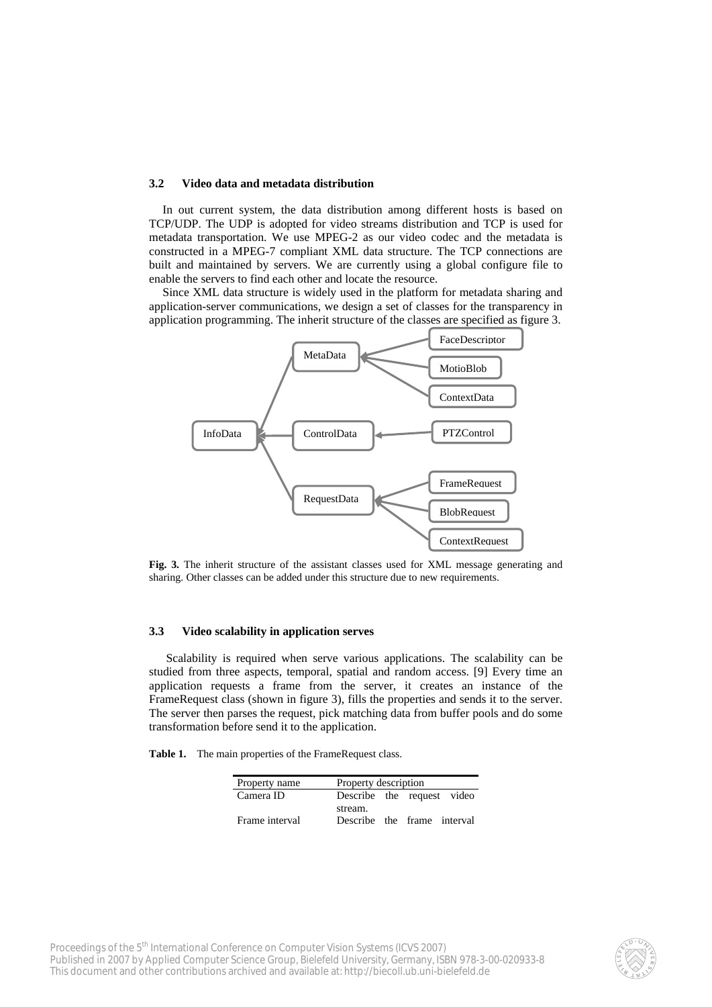### **3.2 Video data and metadata distribution**

In out current system, the data distribution among different hosts is based on TCP/UDP. The UDP is adopted for video streams distribution and TCP is used for metadata transportation. We use MPEG-2 as our video codec and the metadata is constructed in a MPEG-7 compliant XML data structure. The TCP connections are built and maintained by servers. We are currently using a global configure file to enable the servers to find each other and locate the resource.

Since XML data structure is widely used in the platform for metadata sharing and application-server communications, we design a set of classes for the transparency in application programming. The inherit structure of the classes are specified as figure 3.



**Fig. 3.** The inherit structure of the assistant classes used for XML message generating and sharing. Other classes can be added under this structure due to new requirements.

#### **3.3 Video scalability in application serves**

Scalability is required when serve various applications. The scalability can be studied from three aspects, temporal, spatial and random access. [9] Every time an application requests a frame from the server, it creates an instance of the FrameRequest class (shown in figure 3), fills the properties and sends it to the server. The server then parses the request, pick matching data from buffer pools and do some transformation before send it to the application.

**Table 1.** The main properties of the FrameRequest class.

| Property name  | Property description        |  |  |  |
|----------------|-----------------------------|--|--|--|
| Camera ID      | Describe the request video  |  |  |  |
|                | stream.                     |  |  |  |
| Frame interval | Describe the frame interval |  |  |  |

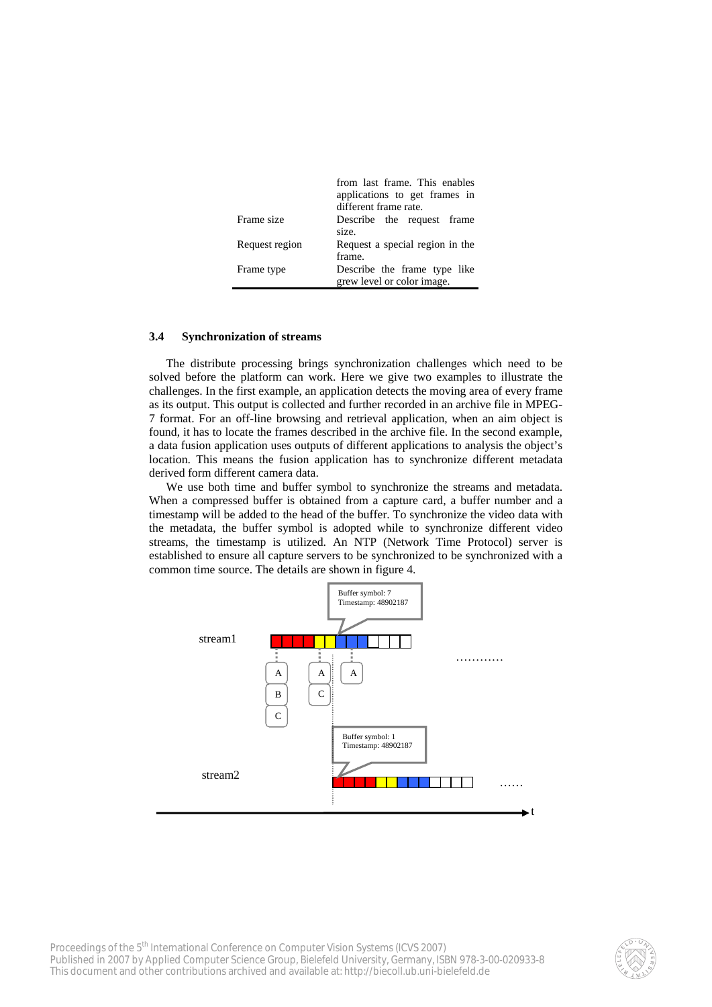|                | from last frame. This enables   |
|----------------|---------------------------------|
|                | applications to get frames in   |
|                | different frame rate.           |
| Frame size     | Describe the request frame      |
|                | size.                           |
| Request region | Request a special region in the |
|                | frame.                          |
| Frame type     | Describe the frame type like    |
|                | grew level or color image.      |

### **3.4 Synchronization of streams**

The distribute processing brings synchronization challenges which need to be solved before the platform can work. Here we give two examples to illustrate the challenges. In the first example, an application detects the moving area of every frame as its output. This output is collected and further recorded in an archive file in MPEG-7 format. For an off-line browsing and retrieval application, when an aim object is found, it has to locate the frames described in the archive file. In the second example, a data fusion application uses outputs of different applications to analysis the object's location. This means the fusion application has to synchronize different metadata derived form different camera data.

We use both time and buffer symbol to synchronize the streams and metadata. When a compressed buffer is obtained from a capture card, a buffer number and a timestamp will be added to the head of the buffer. To synchronize the video data with the metadata, the buffer symbol is adopted while to synchronize different video streams, the timestamp is utilized. An NTP (Network Time Protocol) server is established to ensure all capture servers to be synchronized to be synchronized with a common time source. The details are shown in figure 4.



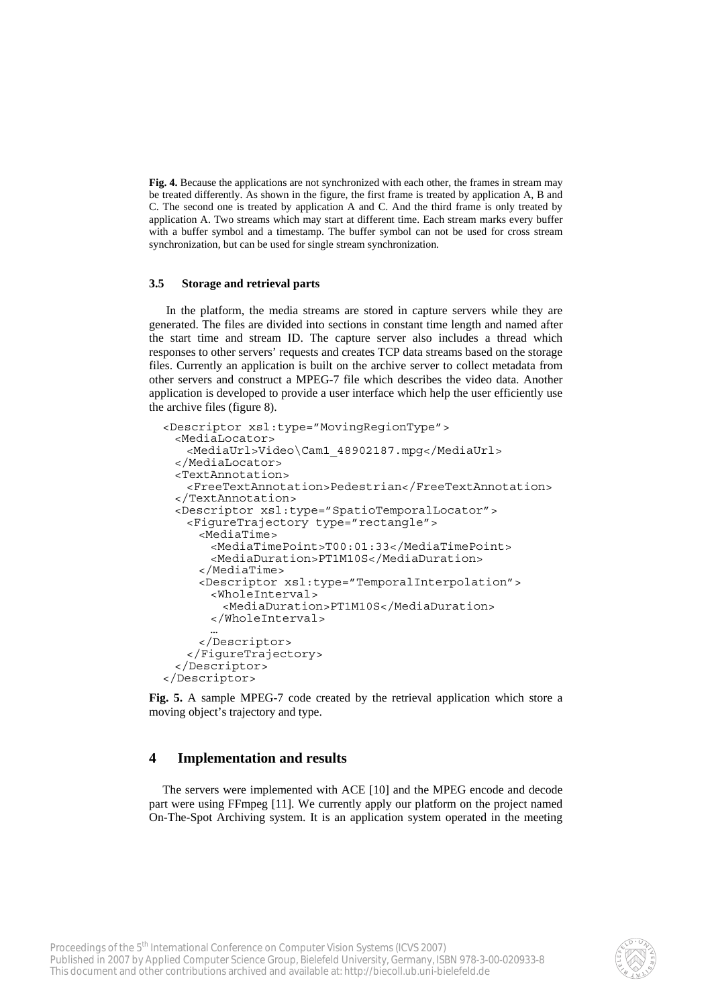**Fig. 4.** Because the applications are not synchronized with each other, the frames in stream may be treated differently. As shown in the figure, the first frame is treated by application A, B and C. The second one is treated by application A and C. And the third frame is only treated by application A. Two streams which may start at different time. Each stream marks every buffer with a buffer symbol and a timestamp. The buffer symbol can not be used for cross stream synchronization, but can be used for single stream synchronization.

### **3.5 Storage and retrieval parts**

In the platform, the media streams are stored in capture servers while they are generated. The files are divided into sections in constant time length and named after the start time and stream ID. The capture server also includes a thread which responses to other servers' requests and creates TCP data streams based on the storage files. Currently an application is built on the archive server to collect metadata from other servers and construct a MPEG-7 file which describes the video data. Another application is developed to provide a user interface which help the user efficiently use the archive files (figure 8).

```
<Descriptor xsl:type="MovingRegionType"> 
  <MediaLocator> 
    <MediaUrl>Video\Cam1_48902187.mpg</MediaUrl> 
  </MediaLocator> 
  <TextAnnotation> 
    <FreeTextAnnotation>Pedestrian</FreeTextAnnotation> 
  </TextAnnotation> 
  <Descriptor xsl:type="SpatioTemporalLocator"> 
    <FigureTrajectory type="rectangle"> 
      <MediaTime> 
        <MediaTimePoint>T00:01:33</MediaTimePoint> 
        <MediaDuration>PT1M10S</MediaDuration> 
      </MediaTime> 
      <Descriptor xsl:type="TemporalInterpolation"> 
        <WholeInterval> 
          <MediaDuration>PT1M10S</MediaDuration> 
        </WholeInterval> 
 … 
      </Descriptor> 
    </FigureTrajectory> 
  </Descriptor> 
</Descriptor>
```
**Fig. 5.** A sample MPEG-7 code created by the retrieval application which store a moving object's trajectory and type.

### **4 Implementation and results**

The servers were implemented with ACE [10] and the MPEG encode and decode part were using FFmpeg [11]. We currently apply our platform on the project named On-The-Spot Archiving system. It is an application system operated in the meeting

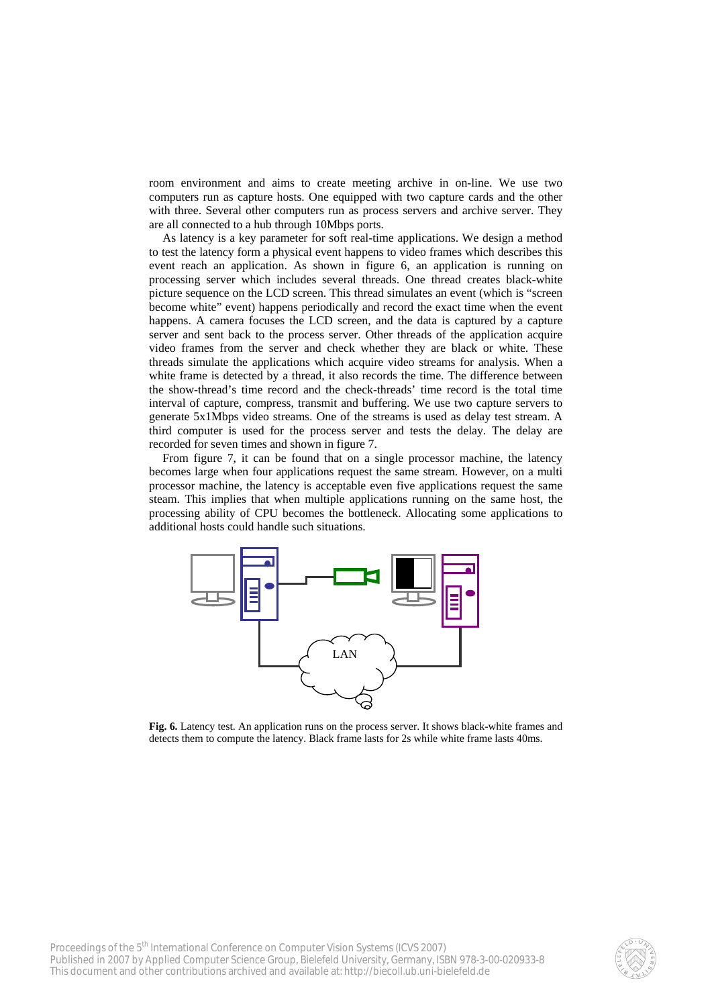room environment and aims to create meeting archive in on-line. We use two computers run as capture hosts. One equipped with two capture cards and the other with three. Several other computers run as process servers and archive server. They are all connected to a hub through 10Mbps ports.

As latency is a key parameter for soft real-time applications. We design a method to test the latency form a physical event happens to video frames which describes this event reach an application. As shown in figure 6, an application is running on processing server which includes several threads. One thread creates black-white picture sequence on the LCD screen. This thread simulates an event (which is "screen become white" event) happens periodically and record the exact time when the event happens. A camera focuses the LCD screen, and the data is captured by a capture server and sent back to the process server. Other threads of the application acquire video frames from the server and check whether they are black or white. These threads simulate the applications which acquire video streams for analysis. When a white frame is detected by a thread, it also records the time. The difference between the show-thread's time record and the check-threads' time record is the total time interval of capture, compress, transmit and buffering. We use two capture servers to generate 5x1Mbps video streams. One of the streams is used as delay test stream. A third computer is used for the process server and tests the delay. The delay are recorded for seven times and shown in figure 7.

From figure 7, it can be found that on a single processor machine, the latency becomes large when four applications request the same stream. However, on a multi processor machine, the latency is acceptable even five applications request the same steam. This implies that when multiple applications running on the same host, the processing ability of CPU becomes the bottleneck. Allocating some applications to additional hosts could handle such situations.



**Fig. 6.** Latency test. An application runs on the process server. It shows black-white frames and detects them to compute the latency. Black frame lasts for 2s while white frame lasts 40ms.

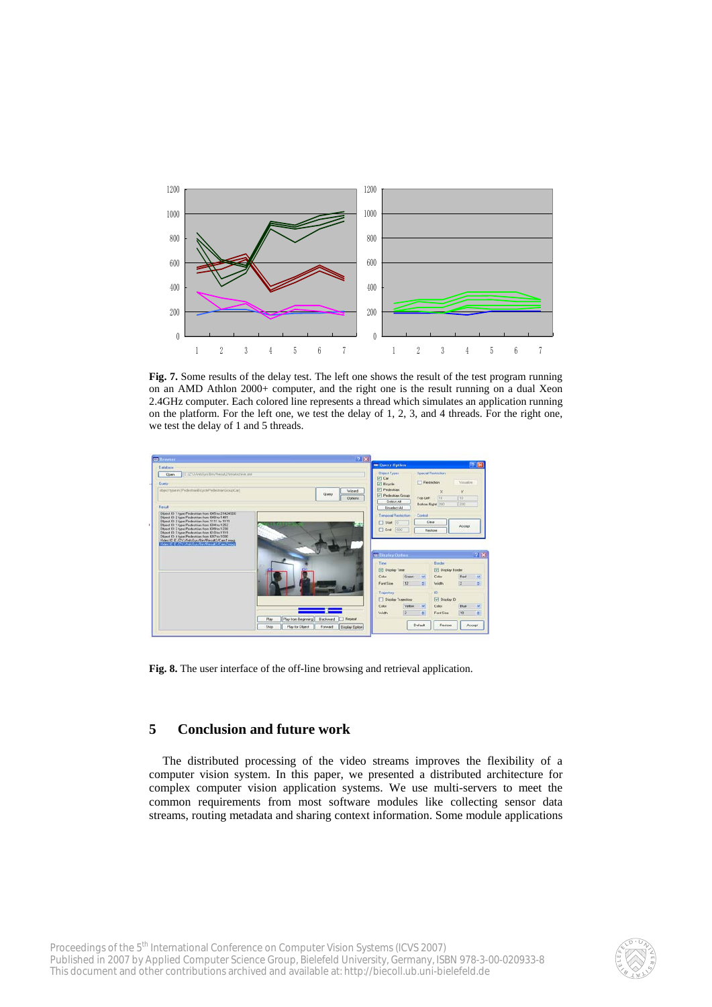

**Fig. 7.** Some results of the delay test. The left one shows the result of the test program running on an AMD Athlon 2000+ computer, and the right one is the result running on a dual Xeon 2.4GHz computer. Each colored line represents a thread which simulates an application running on the platform. For the left one, we test the delay of 1, 2, 3, and 4 threads. For the right one, we test the delay of 1 and 5 threads.



**Fig. 8.** The user interface of the off-line browsing and retrieval application.

# **5 Conclusion and future work**

The distributed processing of the video streams improves the flexibility of a computer vision system. In this paper, we presented a distributed architecture for complex computer vision application systems. We use multi-servers to meet the common requirements from most software modules like collecting sensor data streams, routing metadata and sharing context information. Some module applications